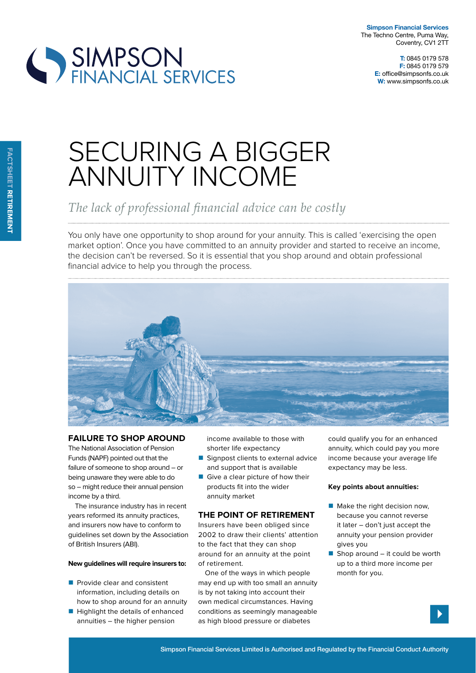**Simpson Financial Services** The Techno Centre, Puma Way, Coventry, CV1 2TT

**T:** 0845 0179 578 **F:** 0845 0179 579 **E:** office@simpsonfs.co.uk **W:** www.simpsonfs.co.uk



# SECURING A BIGGER ANNUITY INCOME

The lack of professional financial advice can be costly

You only have one opportunity to shop around for your annuity. This is called 'exercising the open market option'. Once you have committed to an annuity provider and started to receive an income, the decision can't be reversed. So it is essential that you shop around and obtain professional financial advice to help you through the process.



# **Failure to sHop around**

The National Association of Pension Funds (NAPF) pointed out that the failure of someone to shop around – or being unaware they were able to do so – might reduce their annual pension income by a third.

The insurance industry has in recent years reformed its annuity practices, and insurers now have to conform to guidelines set down by the Association of British Insurers (ABI).

#### **new guidelines will require insurers to:**

- **Provide clear and consistent** information, including details on how to shop around for an annuity
- **Highlight the details of enhanced** annuities – the higher pension

income available to those with shorter life expectancy

- Signpost clients to external advice and support that is available
- Give a clear picture of how their products fit into the wider annuity market

### **tHe point oF retirement**

Insurers have been obliged since 2002 to draw their clients' attention to the fact that they can shop around for an annuity at the point of retirement.

One of the ways in which people may end up with too small an annuity is by not taking into account their own medical circumstances. Having conditions as seemingly manageable as high blood pressure or diabetes

could qualify you for an enhanced annuity, which could pay you more income because your average life expectancy may be less.

#### **key points about annuities:**

- $\blacksquare$  Make the right decision now, because you cannot reverse it later – don't just accept the annuity your pension provider gives you
- $\blacksquare$  Shop around it could be worth up to a third more income per month for you.